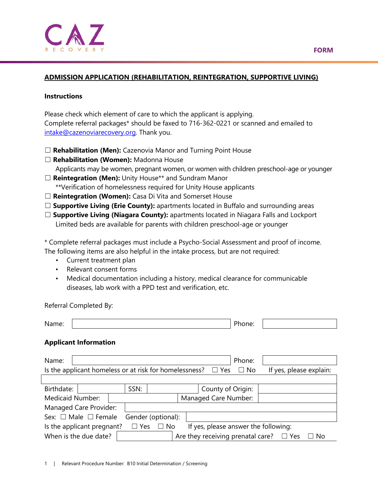#### **ADMISSION APPLICATION (REHABILITATION, REINTEGRATION, SUPPORTIVE LIVING)**

#### **Instructions**

Please check which element of care to which the applicant is applying. Complete referral packages\* should be faxed to 716-362-0221 or scanned and emailed to [intake@cazenoviarecovery.org.](mailto:intake@cazenoviarecovery.org) Thank you.

- □ **Rehabilitation (Men):** Cazenovia Manor and Turning Point House
- ☐ **Rehabilitation (Women):** Madonna House Applicants may be women, pregnant women, or women with children preschool-age or younger
- ☐ **Reintegration (Men):** Unity House\*\* and Sundram Manor \*\*Verification of homelessness required for Unity House applicants

- ☐ **Reintegration (Women):** Casa Di Vita and Somerset House
- □ **Supportive Living (Erie County):** apartments located in Buffalo and surrounding areas
- □ **Supportive Living (Niagara County):** apartments located in Niagara Falls and Lockport Limited beds are available for parents with children preschool-age or younger

\* Complete referral packages must include a Psycho-Social Assessment and proof of income. The following items are also helpful in the intake process, but are not required:

- Current treatment plan
- Relevant consent forms
- Medical documentation including a history, medical clearance for communicable diseases, lab work with a PPD test and verification, etc.

Referral Completed By:

| N.<br>. | $\sim$<br>____ |  |
|---------|----------------|--|

#### **Applicant Information**

| Name:                                                                                                     |  |      |  |  |                      | Phone:                                          |  |  |      |
|-----------------------------------------------------------------------------------------------------------|--|------|--|--|----------------------|-------------------------------------------------|--|--|------|
| Is the applicant homeless or at risk for homelessness? $\Box$ Yes<br>If yes, please explain:<br>$\Box$ No |  |      |  |  |                      |                                                 |  |  |      |
|                                                                                                           |  |      |  |  |                      |                                                 |  |  |      |
| Birthdate:                                                                                                |  | SSN: |  |  |                      | County of Origin:                               |  |  |      |
| Medicaid Number:                                                                                          |  |      |  |  | Managed Care Number: |                                                 |  |  |      |
| Managed Care Provider:                                                                                    |  |      |  |  |                      |                                                 |  |  |      |
| Sex: $\Box$ Male $\Box$ Female<br>Gender (optional):                                                      |  |      |  |  |                      |                                                 |  |  |      |
| Is the applicant pregnant?<br>If yes, please answer the following:<br>$\Box$ Yes<br>$\Box$ No             |  |      |  |  |                      |                                                 |  |  |      |
| When is the due date?                                                                                     |  |      |  |  |                      | Are they receiving prenatal care? $\square$ Yes |  |  | ⊐ No |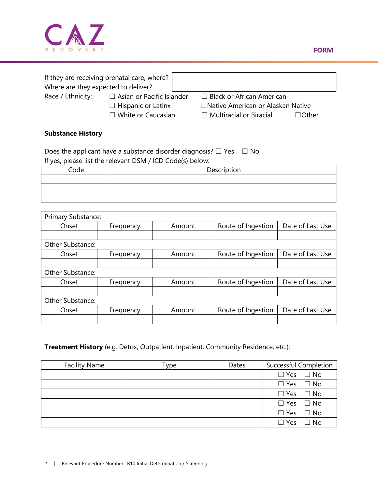

| Where are they expected to deliver? | If they are receiving prenatal care, where? |                                                |  |
|-------------------------------------|---------------------------------------------|------------------------------------------------|--|
| Race / Ethnicity:                   | $\Box$ Asian or Pacific Islander            | $\Box$ Black or African American               |  |
|                                     | $\Box$ Hispanic or Latinx                   | □ Native American or Alaskan Native            |  |
|                                     | $\Box$ White or Caucasian                   | $\Box$ Multiracial or Biracial<br>$\Box$ Other |  |

# **Substance History**

Does the applicant have a substance disorder diagnosis?  $\Box$  Yes  $\Box$  No If yes, please list the relevant DSM / ICD Code(s) below:

| Code | Description |
|------|-------------|
|      |             |
|      |             |
|      |             |

| <b>Primary Substance:</b> |           |        |                    |                  |
|---------------------------|-----------|--------|--------------------|------------------|
| Onset                     | Frequency | Amount | Route of Ingestion | Date of Last Use |
|                           |           |        |                    |                  |
| <b>Other Substance:</b>   |           |        |                    |                  |
| Onset                     | Frequency | Amount | Route of Ingestion | Date of Last Use |
|                           |           |        |                    |                  |
| Other Substance:          |           |        |                    |                  |
| Onset                     | Frequency | Amount | Route of Ingestion | Date of Last Use |
|                           |           |        |                    |                  |
| Other Substance:          |           |        |                    |                  |
| Onset                     | Frequency | Amount | Route of Ingestion | Date of Last Use |
|                           |           |        |                    |                  |

# **Treatment History** (e.g. Detox, Outpatient, Inpatient, Community Residence, etc.):

| <b>Facility Name</b> | Type | Dates | <b>Successful Completion</b> |
|----------------------|------|-------|------------------------------|
|                      |      |       | $\Box$ Yes $\Box$ No         |
|                      |      |       | $\Box$ Yes $\Box$ No         |
|                      |      |       | $\Box$ Yes $\Box$ No         |
|                      |      |       | $\Box$ Yes $\Box$ No         |
|                      |      |       | $\Box$ Yes $\Box$ No         |
|                      |      |       | $\Box$ Yes<br>$\Box$ No      |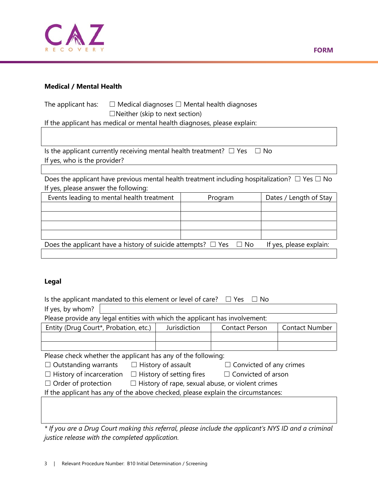

### **Medical / Mental Health**

The applicant has:  $□$  Medical diagnoses  $□$  Mental health diagnoses  $\Box$ Neither (skip to next section)

If the applicant has medical or mental health diagnoses, please explain:

Is the applicant currently receiving mental health treatment?  $\Box$  Yes  $\Box$  No If yes, who is the provider?

Does the applicant have previous mental health treatment including hospitalization?  $\Box$  Yes  $\Box$  No If yes, please answer the following:

| Events leading to mental health treatment                                   | Program | Dates / Length of Stay  |
|-----------------------------------------------------------------------------|---------|-------------------------|
|                                                                             |         |                         |
|                                                                             |         |                         |
|                                                                             |         |                         |
|                                                                             |         |                         |
| Does the applicant have a history of suicide attempts? $\Box$ Yes $\Box$ No |         | If yes, please explain: |
|                                                                             |         |                         |

# **Legal**

| Is the applicant mandated to this element or level of care?<br>$\Box$ Yes<br>No. |                                                              |                           |                                |                       |  |  |  |  |  |
|----------------------------------------------------------------------------------|--------------------------------------------------------------|---------------------------|--------------------------------|-----------------------|--|--|--|--|--|
| If yes, by whom?                                                                 |                                                              |                           |                                |                       |  |  |  |  |  |
| Please provide any legal entities with which the applicant has involvement:      |                                                              |                           |                                |                       |  |  |  |  |  |
| Entity (Drug Court*, Probation, etc.)                                            |                                                              | Jurisdiction              | <b>Contact Person</b>          | <b>Contact Number</b> |  |  |  |  |  |
|                                                                                  |                                                              |                           |                                |                       |  |  |  |  |  |
|                                                                                  |                                                              |                           |                                |                       |  |  |  |  |  |
| Please check whether the applicant has any of the following:                     |                                                              |                           |                                |                       |  |  |  |  |  |
| $\Box$ Outstanding warrants                                                      |                                                              | $\Box$ History of assault | $\Box$ Convicted of any crimes |                       |  |  |  |  |  |
| $\Box$ History of incarceration                                                  | $\Box$ History of setting fires<br>$\Box$ Convicted of arson |                           |                                |                       |  |  |  |  |  |
| $\Box$ Order of protection                                                       | $\Box$ History of rape, sexual abuse, or violent crimes      |                           |                                |                       |  |  |  |  |  |
| If the applicant has any of the above checked, please explain the circumstances: |                                                              |                           |                                |                       |  |  |  |  |  |
|                                                                                  |                                                              |                           |                                |                       |  |  |  |  |  |
|                                                                                  |                                                              |                           |                                |                       |  |  |  |  |  |
|                                                                                  |                                                              |                           |                                |                       |  |  |  |  |  |

*\* If you are a Drug Court making this referral, please include the applicant's NYS ID and a criminal justice release with the completed application.*